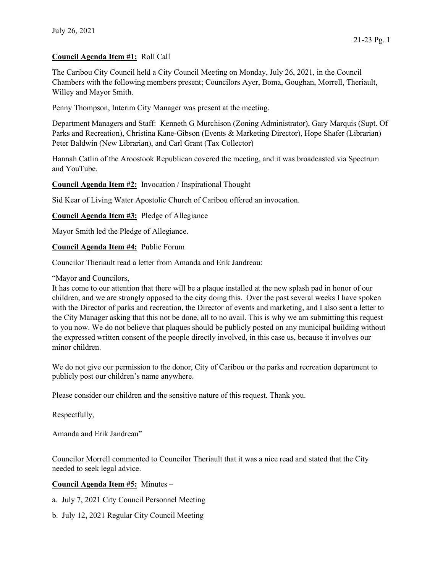# Council Agenda Item #1: Roll Call

The Caribou City Council held a City Council Meeting on Monday, July 26, 2021, in the Council Chambers with the following members present; Councilors Ayer, Boma, Goughan, Morrell, Theriault, Willey and Mayor Smith.

Penny Thompson, Interim City Manager was present at the meeting.

Department Managers and Staff: Kenneth G Murchison (Zoning Administrator), Gary Marquis (Supt. Of Parks and Recreation), Christina Kane-Gibson (Events & Marketing Director), Hope Shafer (Librarian) Peter Baldwin (New Librarian), and Carl Grant (Tax Collector)

Hannah Catlin of the Aroostook Republican covered the meeting, and it was broadcasted via Spectrum and YouTube.

Council Agenda Item #2: Invocation / Inspirational Thought

Sid Kear of Living Water Apostolic Church of Caribou offered an invocation.

Council Agenda Item #3: Pledge of Allegiance

Mayor Smith led the Pledge of Allegiance.

Council Agenda Item #4: Public Forum

Councilor Theriault read a letter from Amanda and Erik Jandreau:

#### "Mayor and Councilors,

It has come to our attention that there will be a plaque installed at the new splash pad in honor of our children, and we are strongly opposed to the city doing this. Over the past several weeks I have spoken with the Director of parks and recreation, the Director of events and marketing, and I also sent a letter to the City Manager asking that this not be done, all to no avail. This is why we am submitting this request to you now. We do not believe that plaques should be publicly posted on any municipal building without the expressed written consent of the people directly involved, in this case us, because it involves our minor children.

We do not give our permission to the donor, City of Caribou or the parks and recreation department to publicly post our children's name anywhere.

Please consider our children and the sensitive nature of this request. Thank you.

Respectfully,

Amanda and Erik Jandreau"

Councilor Morrell commented to Councilor Theriault that it was a nice read and stated that the City needed to seek legal advice.

### Council Agenda Item #5: Minutes –

- a. July 7, 2021 City Council Personnel Meeting
- b. July 12, 2021 Regular City Council Meeting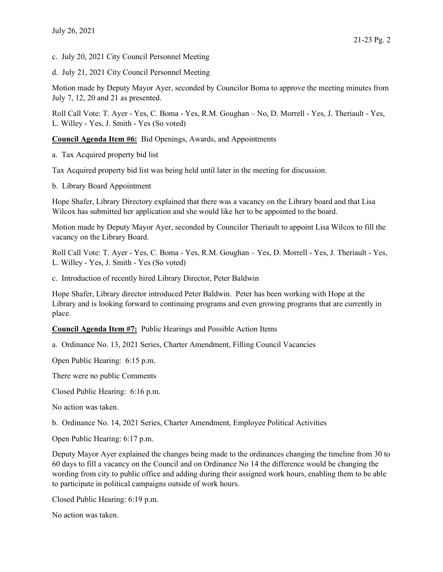c. July 20, 2021 City Council Personnel Meeting

d. July 21, 2021 City Council Personnel Meeting

Motion made by Deputy Mayor Ayer, seconded by Councilor Boma to approve the meeting minutes from July 7, 12, 20 and 21 as presented.

Roll Call Vote: T. Ayer - Yes, C. Boma - Yes, R.M. Goughan – No, D. Morrell - Yes, J. Theriault - Yes, L. Willey - Yes, J. Smith - Yes (So voted)

Council Agenda Item #6: Bid Openings, Awards, and Appointments

a. Tax Acquired property bid list

Tax Acquired property bid list was being held until later in the meeting for discussion.

b. Library Board Appointment

Hope Shafer, Library Directory explained that there was a vacancy on the Library board and that Lisa Wilcox has submitted her application and she would like her to be appointed to the board.

Motion made by Deputy Mayor Ayer, seconded by Councilor Theriault to appoint Lisa Wilcox to fill the vacancy on the Library Board.

Roll Call Vote: T. Ayer - Yes, C. Boma - Yes, R.M. Goughan – Yes, D. Morrell - Yes, J. Theriault - Yes, L. Willey - Yes, J. Smith - Yes (So voted)

c. Introduction of recently hired Library Director, Peter Baldwin

Hope Shafer, Library director introduced Peter Baldwin. Peter has been working with Hope at the Library and is looking forward to continuing programs and even growing programs that are currently in place.

Council Agenda Item #7: Public Hearings and Possible Action Items

a. Ordinance No. 13, 2021 Series, Charter Amendment, Filling Council Vacancies

Open Public Hearing: 6:15 p.m.

There were no public Comments

Closed Public Hearing: 6:16 p.m.

No action was taken.

b. Ordinance No. 14, 2021 Series, Charter Amendment, Employee Political Activities

Open Public Hearing: 6:17 p.m.

Deputy Mayor Ayer explained the changes being made to the ordinances changing the timeline from 30 to 60 days to fill a vacancy on the Council and on Ordinance No 14 the difference would be changing the wording from city to public office and adding during their assigned work hours, enabling them to be able to participate in political campaigns outside of work hours.

Closed Public Hearing: 6:19 p.m.

No action was taken.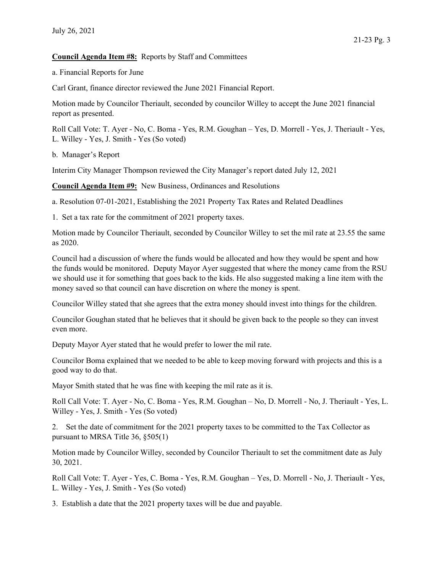#### Council Agenda Item #8: Reports by Staff and Committees

a. Financial Reports for June

Carl Grant, finance director reviewed the June 2021 Financial Report.

Motion made by Councilor Theriault, seconded by councilor Willey to accept the June 2021 financial report as presented.

Roll Call Vote: T. Ayer - No, C. Boma - Yes, R.M. Goughan – Yes, D. Morrell - Yes, J. Theriault - Yes, L. Willey - Yes, J. Smith - Yes (So voted)

b. Manager's Report

Interim City Manager Thompson reviewed the City Manager's report dated July 12, 2021

Council Agenda Item #9: New Business, Ordinances and Resolutions

a. Resolution 07-01-2021, Establishing the 2021 Property Tax Rates and Related Deadlines

1. Set a tax rate for the commitment of 2021 property taxes.

Motion made by Councilor Theriault, seconded by Councilor Willey to set the mil rate at 23.55 the same as 2020.

Council had a discussion of where the funds would be allocated and how they would be spent and how the funds would be monitored. Deputy Mayor Ayer suggested that where the money came from the RSU we should use it for something that goes back to the kids. He also suggested making a line item with the money saved so that council can have discretion on where the money is spent.

Councilor Willey stated that she agrees that the extra money should invest into things for the children.

Councilor Goughan stated that he believes that it should be given back to the people so they can invest even more.

Deputy Mayor Ayer stated that he would prefer to lower the mil rate.

Councilor Boma explained that we needed to be able to keep moving forward with projects and this is a good way to do that.

Mayor Smith stated that he was fine with keeping the mil rate as it is.

Roll Call Vote: T. Ayer - No, C. Boma - Yes, R.M. Goughan – No, D. Morrell - No, J. Theriault - Yes, L. Willey - Yes, J. Smith - Yes (So voted)

2. Set the date of commitment for the 2021 property taxes to be committed to the Tax Collector as pursuant to MRSA Title 36, §505(1)

Motion made by Councilor Willey, seconded by Councilor Theriault to set the commitment date as July 30, 2021.

Roll Call Vote: T. Ayer - Yes, C. Boma - Yes, R.M. Goughan – Yes, D. Morrell - No, J. Theriault - Yes, L. Willey - Yes, J. Smith - Yes (So voted)

3. Establish a date that the 2021 property taxes will be due and payable.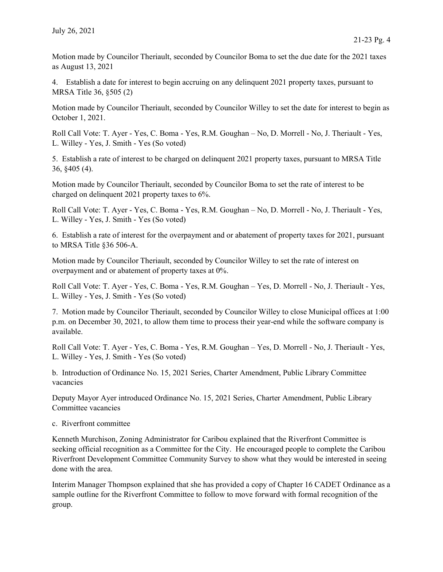Motion made by Councilor Theriault, seconded by Councilor Boma to set the due date for the 2021 taxes as August 13, 2021

4. Establish a date for interest to begin accruing on any delinquent 2021 property taxes, pursuant to MRSA Title 36, §505 (2)

Motion made by Councilor Theriault, seconded by Councilor Willey to set the date for interest to begin as October 1, 2021.

Roll Call Vote: T. Ayer - Yes, C. Boma - Yes, R.M. Goughan – No, D. Morrell - No, J. Theriault - Yes, L. Willey - Yes, J. Smith - Yes (So voted)

5. Establish a rate of interest to be charged on delinquent 2021 property taxes, pursuant to MRSA Title 36, §405 (4).

Motion made by Councilor Theriault, seconded by Councilor Boma to set the rate of interest to be charged on delinquent 2021 property taxes to 6%.

Roll Call Vote: T. Ayer - Yes, C. Boma - Yes, R.M. Goughan – No, D. Morrell - No, J. Theriault - Yes, L. Willey - Yes, J. Smith - Yes (So voted)

6. Establish a rate of interest for the overpayment and or abatement of property taxes for 2021, pursuant to MRSA Title §36 506-A.

Motion made by Councilor Theriault, seconded by Councilor Willey to set the rate of interest on overpayment and or abatement of property taxes at 0%.

Roll Call Vote: T. Ayer - Yes, C. Boma - Yes, R.M. Goughan – Yes, D. Morrell - No, J. Theriault - Yes, L. Willey - Yes, J. Smith - Yes (So voted)

7. Motion made by Councilor Theriault, seconded by Councilor Willey to close Municipal offices at 1:00 p.m. on December 30, 2021, to allow them time to process their year-end while the software company is available.

Roll Call Vote: T. Ayer - Yes, C. Boma - Yes, R.M. Goughan – Yes, D. Morrell - No, J. Theriault - Yes, L. Willey - Yes, J. Smith - Yes (So voted)

b. Introduction of Ordinance No. 15, 2021 Series, Charter Amendment, Public Library Committee vacancies

Deputy Mayor Ayer introduced Ordinance No. 15, 2021 Series, Charter Amendment, Public Library Committee vacancies

c. Riverfront committee

Kenneth Murchison, Zoning Administrator for Caribou explained that the Riverfront Committee is seeking official recognition as a Committee for the City. He encouraged people to complete the Caribou Riverfront Development Committee Community Survey to show what they would be interested in seeing done with the area.

Interim Manager Thompson explained that she has provided a copy of Chapter 16 CADET Ordinance as a sample outline for the Riverfront Committee to follow to move forward with formal recognition of the group.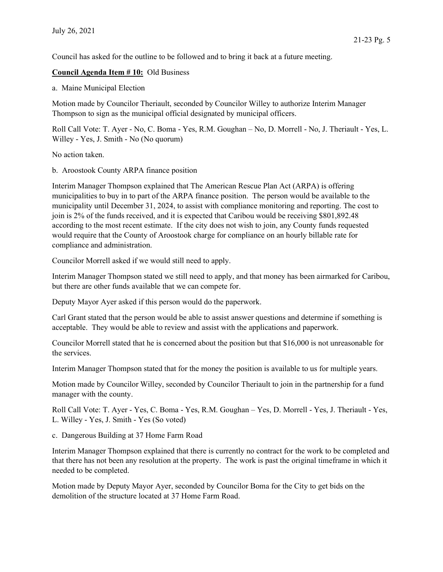Council has asked for the outline to be followed and to bring it back at a future meeting.

## Council Agenda Item # 10: Old Business

a. Maine Municipal Election

Motion made by Councilor Theriault, seconded by Councilor Willey to authorize Interim Manager Thompson to sign as the municipal official designated by municipal officers.

Roll Call Vote: T. Ayer - No, C. Boma - Yes, R.M. Goughan – No, D. Morrell - No, J. Theriault - Yes, L. Willey - Yes, J. Smith - No (No quorum)

No action taken.

b. Aroostook County ARPA finance position

Interim Manager Thompson explained that The American Rescue Plan Act (ARPA) is offering municipalities to buy in to part of the ARPA finance position. The person would be available to the municipality until December 31, 2024, to assist with compliance monitoring and reporting. The cost to join is 2% of the funds received, and it is expected that Caribou would be receiving \$801,892.48 according to the most recent estimate. If the city does not wish to join, any County funds requested would require that the County of Aroostook charge for compliance on an hourly billable rate for compliance and administration.

Councilor Morrell asked if we would still need to apply.

Interim Manager Thompson stated we still need to apply, and that money has been airmarked for Caribou, but there are other funds available that we can compete for.

Deputy Mayor Ayer asked if this person would do the paperwork.

Carl Grant stated that the person would be able to assist answer questions and determine if something is acceptable. They would be able to review and assist with the applications and paperwork.

Councilor Morrell stated that he is concerned about the position but that \$16,000 is not unreasonable for the services.

Interim Manager Thompson stated that for the money the position is available to us for multiple years.

Motion made by Councilor Willey, seconded by Councilor Theriault to join in the partnership for a fund manager with the county.

Roll Call Vote: T. Ayer - Yes, C. Boma - Yes, R.M. Goughan – Yes, D. Morrell - Yes, J. Theriault - Yes, L. Willey - Yes, J. Smith - Yes (So voted)

c. Dangerous Building at 37 Home Farm Road

Interim Manager Thompson explained that there is currently no contract for the work to be completed and that there has not been any resolution at the property. The work is past the original timeframe in which it needed to be completed.

Motion made by Deputy Mayor Ayer, seconded by Councilor Boma for the City to get bids on the demolition of the structure located at 37 Home Farm Road.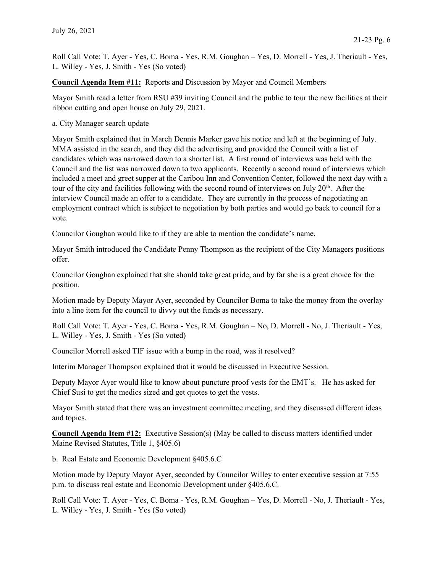Roll Call Vote: T. Ayer - Yes, C. Boma - Yes, R.M. Goughan – Yes, D. Morrell - Yes, J. Theriault - Yes, L. Willey - Yes, J. Smith - Yes (So voted)

Council Agenda Item #11: Reports and Discussion by Mayor and Council Members

Mayor Smith read a letter from RSU #39 inviting Council and the public to tour the new facilities at their ribbon cutting and open house on July 29, 2021.

a. City Manager search update

Mayor Smith explained that in March Dennis Marker gave his notice and left at the beginning of July. MMA assisted in the search, and they did the advertising and provided the Council with a list of candidates which was narrowed down to a shorter list. A first round of interviews was held with the Council and the list was narrowed down to two applicants. Recently a second round of interviews which included a meet and greet supper at the Caribou Inn and Convention Center, followed the next day with a tour of the city and facilities following with the second round of interviews on July 20<sup>th</sup>. After the interview Council made an offer to a candidate. They are currently in the process of negotiating an employment contract which is subject to negotiation by both parties and would go back to council for a vote.

Councilor Goughan would like to if they are able to mention the candidate's name.

Mayor Smith introduced the Candidate Penny Thompson as the recipient of the City Managers positions offer.

Councilor Goughan explained that she should take great pride, and by far she is a great choice for the position.

Motion made by Deputy Mayor Ayer, seconded by Councilor Boma to take the money from the overlay into a line item for the council to divvy out the funds as necessary.

Roll Call Vote: T. Ayer - Yes, C. Boma - Yes, R.M. Goughan – No, D. Morrell - No, J. Theriault - Yes, L. Willey - Yes, J. Smith - Yes (So voted)

Councilor Morrell asked TIF issue with a bump in the road, was it resolved?

Interim Manager Thompson explained that it would be discussed in Executive Session.

Deputy Mayor Ayer would like to know about puncture proof vests for the EMT's. He has asked for Chief Susi to get the medics sized and get quotes to get the vests.

Mayor Smith stated that there was an investment committee meeting, and they discussed different ideas and topics.

Council Agenda Item #12: Executive Session(s) (May be called to discuss matters identified under Maine Revised Statutes, Title 1, §405.6)

b. Real Estate and Economic Development §405.6.C

Motion made by Deputy Mayor Ayer, seconded by Councilor Willey to enter executive session at 7:55 p.m. to discuss real estate and Economic Development under §405.6.C.

Roll Call Vote: T. Ayer - Yes, C. Boma - Yes, R.M. Goughan – Yes, D. Morrell - No, J. Theriault - Yes, L. Willey - Yes, J. Smith - Yes (So voted)